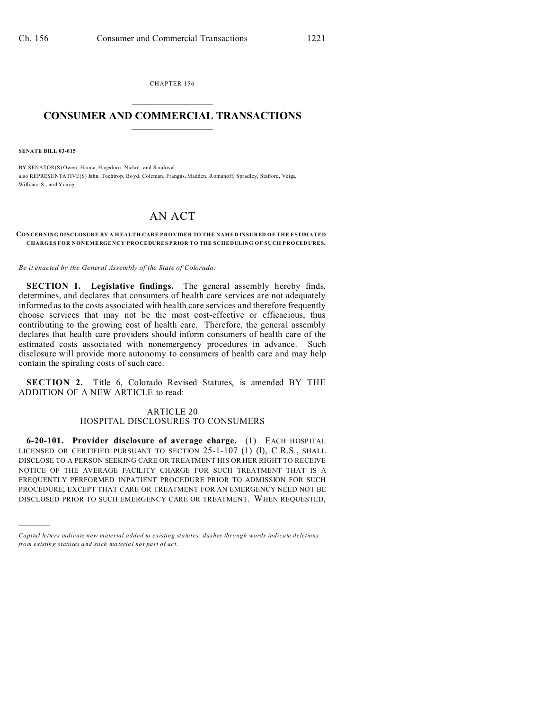CHAPTER 156  $\overline{\phantom{a}}$  , where  $\overline{\phantom{a}}$ 

## **CONSUMER AND COMMERCIAL TRANSACTIONS**  $\_$   $\_$   $\_$   $\_$   $\_$   $\_$   $\_$   $\_$

**SENATE BILL 03-015**

)))))

BY SENATOR(S) Owen, Hanna, Hagedorn, Nichol, and Sandoval; also REPRESE NTATIVE(S) Jahn, Tochtrop, Bo yd, Coleman, Frangas, Madden, Romanoff, Spradley, Stafford, Veiga, Williams S., and You ng.

## AN ACT

## **CONCERNING DISCLOSURE BY A H EALTH CARE PROVIDER TO THE NAMED INSURED OF THE ESTIMATED CHARGES FOR NONEMERGENCY PROCEDURES PRIOR TO THE SCHEDULING OF SUCH PROCEDURES.**

*Be it enacted by the General Assembly of the State of Colorado:*

**SECTION 1. Legislative findings.** The general assembly hereby finds, determines, and declares that consumers of health care services are not adequately informed as to the costs associated with health care services and therefore frequently choose services that may not be the most cost-effective or efficacious, thus contributing to the growing cost of health care. Therefore, the general assembly declares that health care providers should inform consumers of health care of the estimated costs associated with nonemergency procedures in advance. Such disclosure will provide more autonomy to consumers of health care and may help contain the spiraling costs of such care.

**SECTION 2.** Title 6, Colorado Revised Statutes, is amended BY THE ADDITION OF A NEW ARTICLE to read:

## ARTICLE 20 HOSPITAL DISCLOSURES TO CONSUMERS

**6-20-101. Provider disclosure of average charge.** (1) EACH HOSPITAL LICENSED OR CERTIFIED PURSUANT TO SECTION  $25$ -1-107 (1) (1), C.R.S., SHALL DISCLOSE TO A PERSON SEEKING CARE OR TREATMENT HIS OR HER RIGHT TO RECEIVE NOTICE OF THE AVERAGE FACILITY CHARGE FOR SUCH TREATMENT THAT IS A FREQUENTLY PERFORMED INPATIENT PROCEDURE PRIOR TO ADMISSION FOR SUCH PROCEDURE; EXCEPT THAT CARE OR TREATMENT FOR AN EMERGENCY NEED NOT BE DISCLOSED PRIOR TO SUCH EMERGENCY CARE OR TREATMENT. WHEN REQUESTED,

*Capital letters indicate new material added to existing statutes; dashes through words indicate deletions from e xistin g statu tes a nd such ma teria l no t pa rt of ac t.*